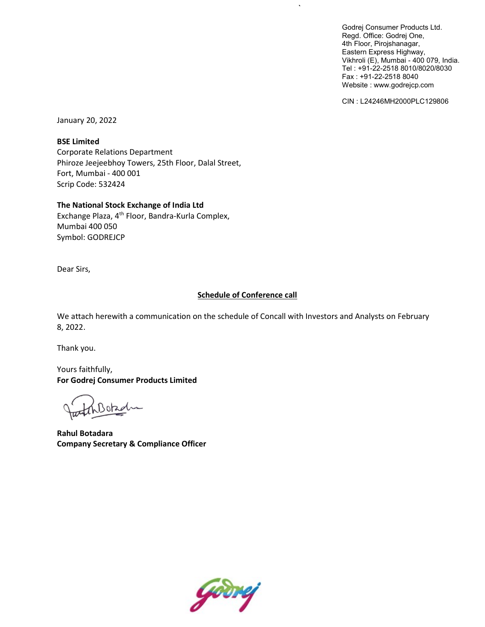Godrej Consumer Products Ltd. Regd. Office: Godrej One, 4th Floor, Pirojshanagar, Eastern Express Highway, Vikhroli (E), Mumbai - 400 079, India. Tel : +91-22-2518 8010/8020/8030 Fax : +91-22-2518 8040 Website : www.godrejcp.com

CIN : L24246MH2000PLC129806

January 20, 2022

BSE Limited

Corporate Relations Department Phiroze Jeejeebhoy Towers, 25th Floor, Dalal Street, Fort, Mumbai - 400 001 Scrip Code: 532424

The National Stock Exchange of India Ltd

Exchange Plaza, 4<sup>th</sup> Floor, Bandra-Kurla Complex, Mumbai 400 050 Symbol: GODREJCP

Dear Sirs,

# **Schedule of Conference call**

 $\ddot{\phantom{0}}$ 

We attach herewith a communication on the schedule of Concall with Investors and Analysts on February 8, 2022.

Thank you.

Yours faithfully, For Godrej Consumer Products Limited

Boba

Rahul Botadara Company Secretary & Compliance Officer